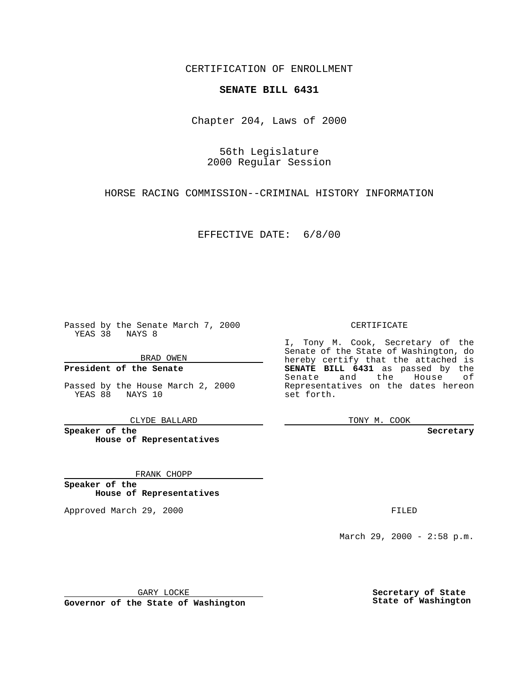CERTIFICATION OF ENROLLMENT

## **SENATE BILL 6431**

Chapter 204, Laws of 2000

56th Legislature 2000 Regular Session

HORSE RACING COMMISSION--CRIMINAL HISTORY INFORMATION

EFFECTIVE DATE: 6/8/00

Passed by the Senate March 7, 2000 YEAS 38 NAYS 8

BRAD OWEN

**President of the Senate**

Passed by the House March 2, 2000 YEAS 88 NAYS 10

CLYDE BALLARD

**Speaker of the House of Representatives**

FRANK CHOPP

**Speaker of the House of Representatives**

Approved March 29, 2000 FILED

### CERTIFICATE

I, Tony M. Cook, Secretary of the Senate of the State of Washington, do hereby certify that the attached is **SENATE BILL 6431** as passed by the Senate and the House of Representatives on the dates hereon set forth.

TONY M. COOK

**Secretary**

March 29, 2000 - 2:58 p.m.

GARY LOCKE

**Governor of the State of Washington**

**Secretary of State State of Washington**